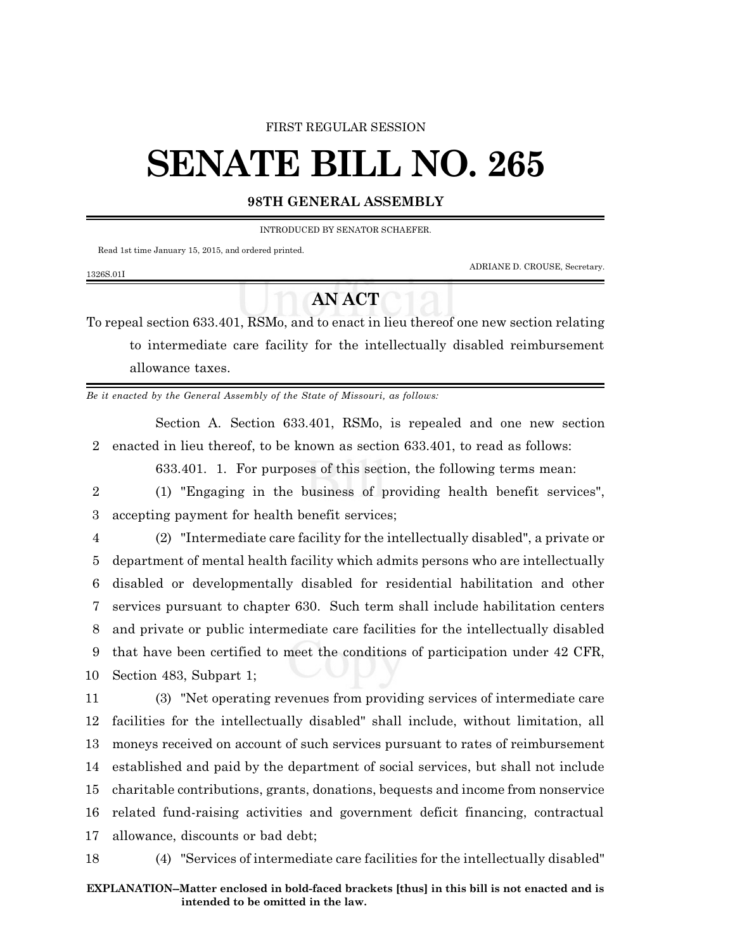### FIRST REGULAR SESSION

# **SENATE BILL NO. 265**

## **98TH GENERAL ASSEMBLY**

INTRODUCED BY SENATOR SCHAEFER.

Read 1st time January 15, 2015, and ordered printed.

ADRIANE D. CROUSE, Secretary.

#### 1326S.01I

# **AN ACT**

To repeal section 633.401, RSMo, and to enact in lieu thereof one new section relating to intermediate care facility for the intellectually disabled reimbursement allowance taxes.

*Be it enacted by the General Assembly of the State of Missouri, as follows:*

Section A. Section 633.401, RSMo, is repealed and one new section 2 enacted in lieu thereof, to be known as section 633.401, to read as follows:

633.401. 1. For purposes of this section, the following terms mean:

2 (1) "Engaging in the business of providing health benefit services", 3 accepting payment for health benefit services;

 (2) "Intermediate care facility for the intellectually disabled", a private or department of mental health facility which admits persons who are intellectually disabled or developmentally disabled for residential habilitation and other services pursuant to chapter 630. Such term shall include habilitation centers and private or public intermediate care facilities for the intellectually disabled that have been certified to meet the conditions of participation under 42 CFR, Section 483, Subpart 1;

 (3) "Net operating revenues from providing services of intermediate care facilities for the intellectually disabled" shall include, without limitation, all moneys received on account of such services pursuant to rates of reimbursement established and paid by the department of social services, but shall not include charitable contributions, grants, donations, bequests and income from nonservice related fund-raising activities and government deficit financing, contractual allowance, discounts or bad debt;

18 (4) "Services of intermediate care facilities for the intellectually disabled"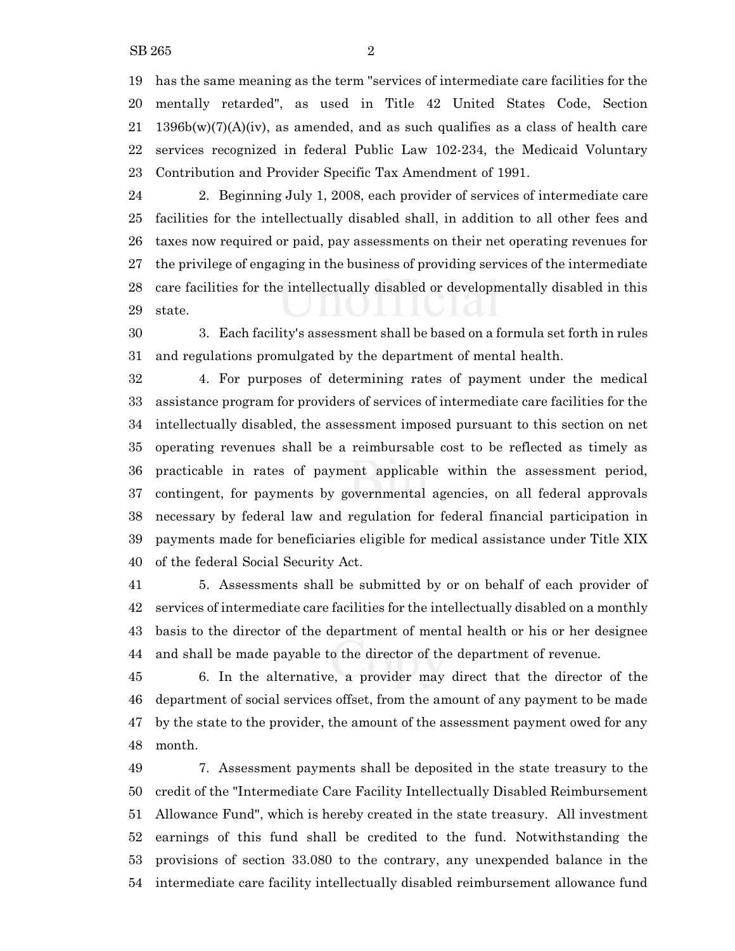has the same meaning as the term "services of intermediate care facilities for the mentally retarded", as used in Title 42 United States Code, Section 21 1396b(w)(7)(A)(iv), as amended, and as such qualifies as a class of health care services recognized in federal Public Law 102-234, the Medicaid Voluntary Contribution and Provider Specific Tax Amendment of 1991.

 2. Beginning July 1, 2008, each provider of services of intermediate care facilities for the intellectually disabled shall, in addition to all other fees and taxes now required or paid, pay assessments on their net operating revenues for the privilege of engaging in the business of providing services of the intermediate care facilities for the intellectually disabled or developmentally disabled in this state.

 3. Each facility's assessment shall be based on a formula set forth in rules and regulations promulgated by the department of mental health.

 4. For purposes of determining rates of payment under the medical assistance program for providers of services of intermediate care facilities for the intellectually disabled, the assessment imposed pursuant to this section on net operating revenues shall be a reimbursable cost to be reflected as timely as practicable in rates of payment applicable within the assessment period, contingent, for payments by governmental agencies, on all federal approvals necessary by federal law and regulation for federal financial participation in payments made for beneficiaries eligible for medical assistance under Title XIX of the federal Social Security Act.

 5. Assessments shall be submitted by or on behalf of each provider of services of intermediate care facilities for the intellectually disabled on a monthly basis to the director of the department of mental health or his or her designee and shall be made payable to the director of the department of revenue.

 6. In the alternative, a provider may direct that the director of the department of social services offset, from the amount of any payment to be made by the state to the provider, the amount of the assessment payment owed for any month.

 7. Assessment payments shall be deposited in the state treasury to the credit of the "Intermediate Care Facility Intellectually Disabled Reimbursement Allowance Fund", which is hereby created in the state treasury. All investment earnings of this fund shall be credited to the fund. Notwithstanding the provisions of section 33.080 to the contrary, any unexpended balance in the intermediate care facility intellectually disabled reimbursement allowance fund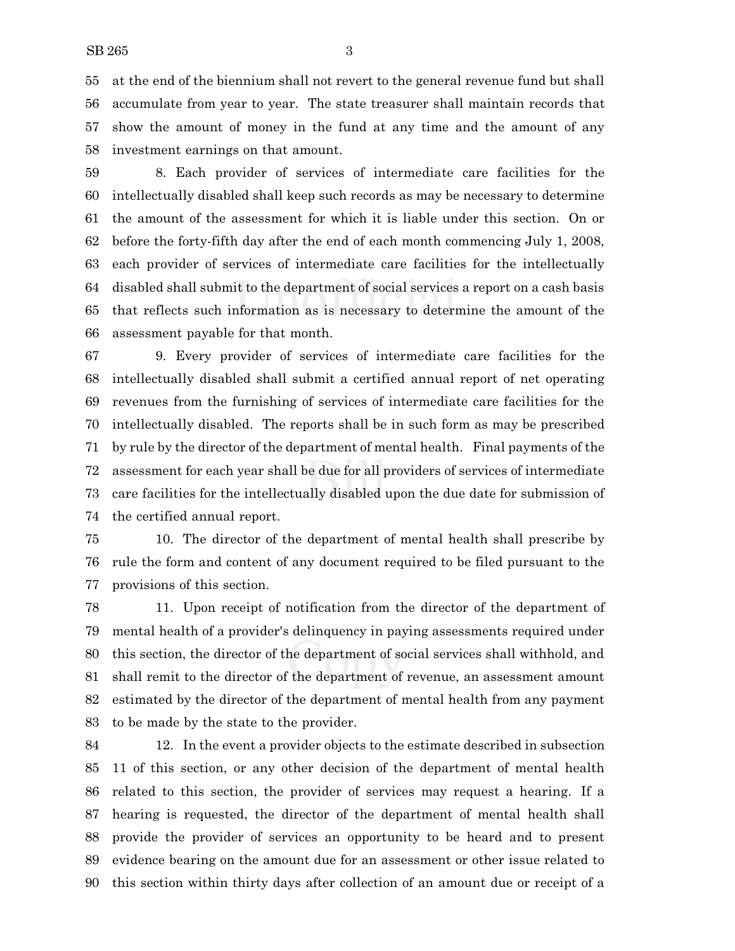at the end of the biennium shall not revert to the general revenue fund but shall accumulate from year to year. The state treasurer shall maintain records that show the amount of money in the fund at any time and the amount of any investment earnings on that amount.

 8. Each provider of services of intermediate care facilities for the intellectually disabled shall keep such records as may be necessary to determine the amount of the assessment for which it is liable under this section. On or before the forty-fifth day after the end of each month commencing July 1, 2008, each provider of services of intermediate care facilities for the intellectually disabled shall submit to the department of social services a report on a cash basis that reflects such information as is necessary to determine the amount of the assessment payable for that month.

 9. Every provider of services of intermediate care facilities for the intellectually disabled shall submit a certified annual report of net operating revenues from the furnishing of services of intermediate care facilities for the intellectually disabled. The reports shall be in such form as may be prescribed by rule by the director of the department of mental health. Final payments of the assessment for each year shall be due for all providers of services of intermediate care facilities for the intellectually disabled upon the due date for submission of the certified annual report.

 10. The director of the department of mental health shall prescribe by rule the form and content of any document required to be filed pursuant to the provisions of this section.

 11. Upon receipt of notification from the director of the department of mental health of a provider's delinquency in paying assessments required under this section, the director of the department of social services shall withhold, and shall remit to the director of the department of revenue, an assessment amount estimated by the director of the department of mental health from any payment to be made by the state to the provider.

 12. In the event a provider objects to the estimate described in subsection 11 of this section, or any other decision of the department of mental health related to this section, the provider of services may request a hearing. If a hearing is requested, the director of the department of mental health shall provide the provider of services an opportunity to be heard and to present evidence bearing on the amount due for an assessment or other issue related to this section within thirty days after collection of an amount due or receipt of a